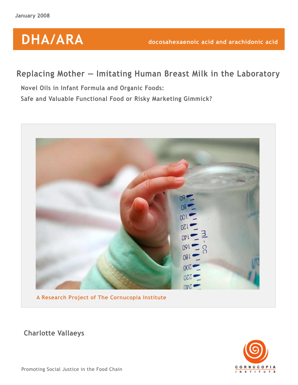# **DHA/ARA**

## **Replacing Mother — Imitating Human Breast Milk in the Laboratory**

**Novel Oils in Infant Formula and Organic Foods: Safe and Valuable Functional Food or Risky Marketing Gimmick?**



**A Research Project of The Cornucopia Institute**

CORNUCOPIA N S T I T U T E

**Charlotte Vallaeys**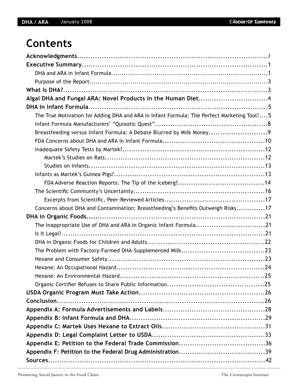## **Contents**

| Algal DHA and Fungal ARA: Novel Products in the Human Diet4                                |
|--------------------------------------------------------------------------------------------|
|                                                                                            |
| The True Motivation for Adding DHA and ARA in Infant Formula: The Perfect Marketing Tool?5 |
|                                                                                            |
| Breastfeeding versus Infant Formula: A Debate Blurred by Milk Money9                       |
|                                                                                            |
|                                                                                            |
|                                                                                            |
|                                                                                            |
|                                                                                            |
|                                                                                            |
|                                                                                            |
|                                                                                            |
| Concerns about DHA and Contamination: Breastfeeding's Benefits Outweigh Risks17            |
|                                                                                            |
| The Inappropriate Use of DHA and ARA in Organic Infant Formula21                           |
|                                                                                            |
|                                                                                            |
|                                                                                            |
|                                                                                            |
|                                                                                            |
|                                                                                            |
|                                                                                            |
|                                                                                            |
|                                                                                            |
|                                                                                            |
|                                                                                            |
|                                                                                            |
|                                                                                            |
|                                                                                            |
|                                                                                            |
|                                                                                            |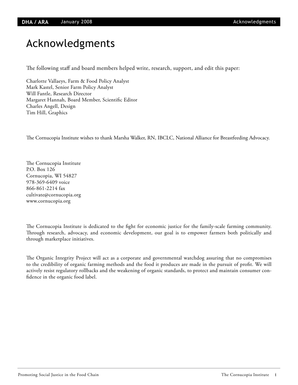## Acknowledgments

The following staff and board members helped write, research, support, and edit this paper:

Charlotte Vallaeys, Farm & Food Policy Analyst Mark Kastel, Senior Farm Policy Analyst Will Fantle, Research Director Margaret Hannah, Board Member, Scientific Editor Charles Angell, Design Tim Hill, Graphics

The Cornucopia Institute wishes to thank Marsha Walker, RN, IBCLC, National Alliance for Breastfeeding Advocacy.

The Cornucopia Institute P.O. Box 126 Cornucopia, WI 54827 978-369-6409 voice 866-861-2214 fax cultivate@cornucopia.org www.cornucopia.org

The Cornucopia Institute is dedicated to the fight for economic justice for the family-scale farming community. Through research, advocacy, and economic development, our goal is to empower farmers both politically and through marketplace initiatives.

The Organic Integrity Project will act as a corporate and governmental watchdog assuring that no compromises to the credibility of organic farming methods and the food it produces are made in the pursuit of profit. We will actively resist regulatory rollbacks and the weakening of organic standards, to protect and maintain consumer confidence in the organic food label.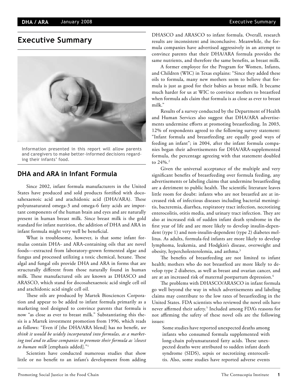## **Executive Summary**



Information presented in this report will allow parents and caregivers to make better-informed decisions regarding their infants' food.

## **DHA and ARA in Infant Formula**

Since 2002, infant formula manufacturers in the United States have produced and sold products fortified with docosahexaenoic acid and arachidonic acid (DHA/ARA). These polyunsaturated omega-3 and omega-6 fatty acids are important components of the human brain and eyes and are naturally present in human breast milk. Since breast milk is the gold standard for infant nutrition, the addition of DHA and ARA in infant formula might very well be beneficial.

What is troublesome, however, is that some infant formulas contain DHA- and ARA-containing oils that are novel foods—extracted from laboratory-grown fermented algae and fungus and processed utilizing a toxic chemical, hexane. These algal and fungal oils provide DHA and ARA in forms that are structurally different from those naturally found in human milk. These manufactured oils are known as DHASCO and ARASCO, which stand for docosahexaenoic acid single cell oil and arachidonic acid single cell oil.

These oils are produced by Martek Biosciences Corporation and appear to be added to infant formula primarily as a marketing tool designed to convince parents that formula is now "as close as ever to breast milk." Substantiating this thesis is a Martek investment promotion from 1996, which reads as follows: "Even if [the DHA/ARA blend] has no benefit, *we think it would be widely incorporated into formulas, as a marketing tool and to allow companies to promote their formula as 'closest to human milk* [emphasis added]*.*"1

Scientists have conducted numerous studies that show little or no benefit to an infant's development from adding DHASCO and ARASCO to infant formula. Overall, research results are inconsistent and inconclusive. Meanwhile, the formula companies have advertised aggressively in an attempt to convince parents that their DHA/ARA formula provides the same nutrients, and therefore the same benefits, as breast milk.

A former employee for the Program for Women, Infants, and Children (WIC) in Texas explains: "Since they added these oils to formula, many new mothers seem to believe that formula is just as good for their babies as breast milk. It became much harder for us at WIC to convince mothers to breastfeed when formula ads claim that formula is as close as ever to breast milk."

Results of a survey conducted by the Department of Health and Human Services also suggest that DHA/ARA advertisements undermine efforts at promoting breastfeeding. In 2003, 12% of respondents agreed to the following survey statement: "Infant formula and breastfeeding are equally good ways of feeding an infant"; in 2004, after the infant formula companies began their advertisements for DHA/ARA-supplemented formula, the percentage agreeing with that statement doubled to 24%.<sup>2</sup>

Given the universal acceptance of the multiple and very significant benefits of breastfeeding over formula feeding, any advertisements or labeling claims that undermine breastfeeding are a detriment to public health. The scientific literature leaves little room for doubt: infants who are not breastfed are at increased risk of infectious diseases including bacterial meningitis, bacteremia, diarrhea, respiratory tract infection, necrotizing enterocolitis, otitis media, and urinary tract infection. They are also at increased risk of sudden infant death syndrome in the first year of life and are more likely to develop insulin-dependent (type 1) and non-insulin-dependent (type 2) diabetes mellitus. As adults, formula-fed infants are more likely to develop lymphoma, leukemia, and Hodgkin's disease, overweight and obesity, hypercholesterolemia, and asthma.<sup>3</sup>

The benefits of breastfeeding are not limited to infant health; mothers who do not breastfeed are more likely to develop type 2 diabetes, as well as breast and ovarian cancer, and are at an increased risk of maternal postpartum depression.<sup>4</sup>

The problems with DHASCO/ARASCO in infant formula go well beyond the way in which advertisements and labeling claims may contribute to the low rates of breastfeeding in the United States. FDA scientists who reviewed the novel oils have never affirmed their safety.5 Included among FDA's reasons for not affirming the safety of these novel oils are the following issues:

Some studies have reported unexpected deaths among infants who consumed formula supplemented with long-chain polyunsaturated fatty acids. These unexpected deaths were attributed to sudden infant death syndrome (SIDS), sepsis or necrotizing enterocolitis. Also, some studies have reported adverse events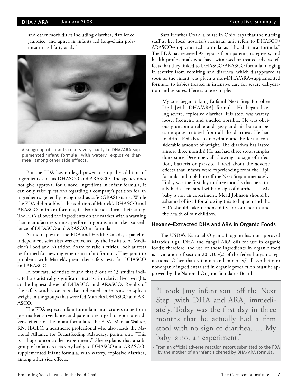#### **DHA / ARA** January 2008

and other morbidities including diarrhea, flatulence, jaundice, and apnea in infants fed long-chain polyunsaturated fatty acids.<sup>6</sup>



A subgroup of infants reacts very badly to DHA/ARA-supplemented infant formula, with watery, explosive diarrhea, among other side effects.

But the FDA has no legal power to stop the addition of ingredients such as DHASCO and ARASCO. The agency does not give approval for a novel ingredient in infant formula, it can only raise questions regarding a company's petition for an ingredient's generally recognized as safe (GRAS) status. While the FDA did not block the addition of Martek's DHASCO and ARASCO in infant formula, it also did not affirm their safety. The FDA allowed the ingredients on the market with a warning that manufacturers must perform rigorous in-market surveillance of DHASCO and ARASCO in formula.

At the request of the FDA and Health Canada, a panel of independent scientists was convened by the Institute of Medicine's Food and Nutrition Board to take a critical look at tests performed for new ingredients in infant formula. They point to problems with Martek's premarket safety tests for DHASCO and ARASCO.

In test rats, scientists found that 5 out of 13 studies indicated a statistically significant increase in relative liver weights at the highest doses of DHASCO and ARASCO. Results of the safety studies on rats also indicated an increase in spleen weight in the groups that were fed Martek's DHASCO and AR-ASCO.

The FDA expects infant formula manufacturers to perform postmarket surveillance, and parents are urged to report any adverse effects of the infant formula to the FDA. Marsha Walker, RN, IBCLC, a healthcare professional who also heads the National Alliance for Breastfeeding Advocacy, points out, "This is a huge uncontrolled experiment." She explains that a subgroup of infants reacts very badly to DHASCO and ARASCOsupplemented infant formula, with watery, explosive diarrhea, among other side effects.

Sam Heather Doak, a nurse in Ohio, says that the nursing staff at her local hospital's neonatal unit refers to DHASCO/ ARASCO-supplemented formula as "the diarrhea formula." The FDA has received 98 reports from parents, caregivers, and health professionals who have witnessed or treated adverse effects that they linked to DHASCO/ARASCO formula, ranging in severity from vomiting and diarrhea, which disappeared as soon as the infant was given a non-DHA/ARA-supplemented formula, to babies treated in intensive care for severe dehydration and seizures. Here is one example:

My son began taking Enfamil Next Step Prosobee Lipil [with DHA/ARA] formula. He began having severe, explosive diarrhea. His stool was watery, loose, frequent, and smelled horrible. He was obviously uncomfortable and gassy and his bottom became quite irritated from all the diarrhea. He had to drink Pedialyte to rehydrate and he lost a considerable amount of weight. The diarrhea has lasted almost three months! He has had three stool samples done since December, all showing no sign of infection, bacteria or parasite. I read about the adverse effects that infants were experiencing from the Lipil formula and took him off the Next Step immediately. Today was the first day in three months that he actually had a firm stool with no sign of diarrhea. … My baby is not an experiment. Mead Johnson should be ashamed of itself for allowing this to happen and the FDA should take responsibility for our health and the health of our children.

### **Hexane-Extracted DHA and ARA in Organic Foods**

The USDA's National Organic Program has not approved Martek's algal DHA and fungal ARA oils for use in organic foods; therefore, the use of these ingredients in organic food is a violation of section 205.105(c) of the federal organic regulations. Other than vitamins and minerals,7 all synthetic or nonorganic ingredients used in organic production must be approved by the National Organic Standards Board.

"I took [my infant son] off the Next Step [with DHA and ARA] immediately. Today was the first day in three months that he actually had a firm stool with no sign of diarrhea. … My baby is not an experiment."

- From an official adverse reaction report submitted to the FDA by the mother of an infant sickened by DHA/ARA formula.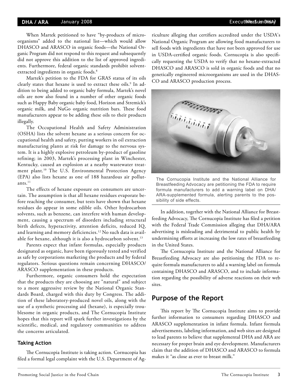#### **DHA / ARA** January 2008

When Martek petitioned to have "by-products of microorganisms" added to the national list—which would allow DHASCO and ARASCO in organic foods—the National Organic Program did not respond to this request and subsequently did not approve this addition to the list of approved ingredients. Furthermore, federal organic standards prohibit solventextracted ingredients in organic foods.<sup>8</sup>

Martek's petition to the FDA for GRAS status of its oils clearly states that hexane is used to extract these oils.<sup>9</sup> In addition to being added to organic baby formula, Martek's novel oils are now also found in a number of other organic foods such as Happy Baby organic baby food, Horizon and Stremick's organic milk, and NuGo organic nutrition bars. These food manufacturers appear to be adding these oils to their products illegally.

The Occupational Health and Safety Administration (OSHA) lists the solvent hexane as a serious concern for occupational health and safety, putting workers in oil extraction manufacturing plants at risk for damage to the nervous system. It is a highly explosive petroleum by-product of gasoline refining; in 2003, Martek's processing plant in Winchester, Kentucky, caused an explosion at a nearby wastewater treatment plant.10 The U.S. Environmental Protection Agency (EPA) also lists hexane as one of 188 hazardous air pollut $ants.<sup>11</sup>$ 

The effects of hexane exposure on consumers are uncertain. The assumption is that all hexane residues evaporate before reaching the consumer, but tests have shown that hexane residues do appear in some edible oils. Other hydrocarbon solvents, such as benzene, can interfere with human development, causing a spectrum of disorders including structural birth defects, hyperactivity, attention deficits, reduced IQ, and learning and memory deficiencies.<sup>12</sup> No such data is available for hexane, although it is also a hydrocarbon solvent.<sup>13</sup>

Parents expect that infant formulas, especially products designated as organic, have been rigorously tested and verified as safe by corporations marketing the products and by federal regulators. Serious questions remain concerning DHASCO/ ARASCO supplementation in these products.

Furthermore, organic consumers hold the expectation that the products they are choosing are "natural" and subject to a more aggressive review by the National Organic Standards Board, charged with this duty by Congress. The addition of these laboratory-produced novel oils, along with the use of a synthetic processing aid (hexane), is especially troublesome in organic products, and The Cornucopia Institute hopes that this report will spark further investigations by the scientific, medical, and regulatory communities to address the concerns articulated.

### **Taking Action**

The Cornucopia Institute is taking action. Cornucopia has filed a formal legal complaint with the U.S. Department of Agriculture alleging that certifiers accredited under the USDA's National Organic Program are allowing food manufacturers to sell foods with ingredients that have not been approved for use in USDA-certified organic foods. Cornucopia is also specifically requesting the USDA to verify that no hexane-extracted DHASCO and ARASCO is sold in organic foods and that no genetically engineered microorganisms are used in the DHAS-CO and ARASCO production process.



The Cornucopia Institute and the National Alliance for Breastfeeding Advocacy are petitioning the FDA to require formula manufacturers to add a warning label on DHA/ ARA-supplemented formula, alerting parents to the possibility of side effects.

In addition, together with the National Alliance for Breastfeeding Advocacy, The Cornucopia Institute has filed a petition with the Federal Trade Commission alleging that DHA/ARA advertising is misleading and detrimental to public health by undermining efforts at increasing the low rates of breastfeeding in the United States.

The Cornucopia Institute and the National Alliance for Breastfeeding Advocacy are also petitioning the FDA to require formula manufacturers to add a warning label on formula containing DHASCO and ARASCO, and to include information regarding the possibility of adverse reactions on their web sites.

### **Purpose of the Report**

This report by The Cornucopia Institute aims to provide further information to consumers regarding DHASCO and ARASCO supplementation in infant formula. Infant formula advertisements, labeling information, and web sites are designed to lead parents to believe that supplemental DHA and ARA are necessary for proper brain and eye development. Manufacturers claim that the addition of DHASCO and ARASCO to formula makes it "as close as ever to breast milk."